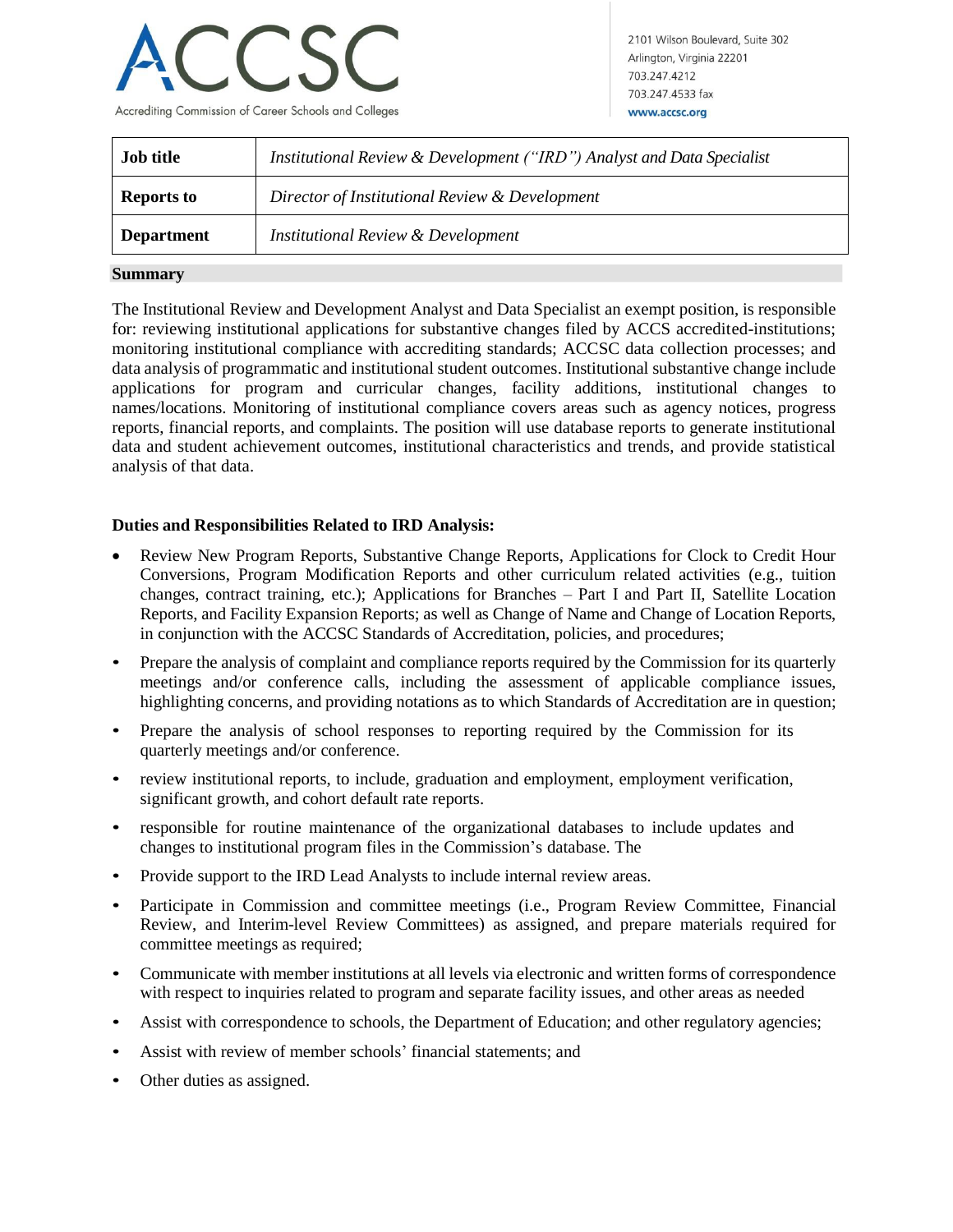

2101 Wilson Boulevard, Suite 302 Arlington, Virginia 22201 703 247 4212 703.247.4533 fax www.accsc.org

| <b>Job title</b>  | Institutional Review & Development ("IRD") Analyst and Data Specialist |
|-------------------|------------------------------------------------------------------------|
| <b>Reports to</b> | Director of Institutional Review & Development                         |
| <b>Department</b> | <b>Institutional Review &amp; Development</b>                          |

## **Summary**

The Institutional Review and Development Analyst and Data Specialist an exempt position, is responsible for: reviewing institutional applications for substantive changes filed by ACCS accredited-institutions; monitoring institutional compliance with accrediting standards; ACCSC data collection processes; and data analysis of programmatic and institutional student outcomes. Institutional substantive change include applications for program and curricular changes, facility additions, institutional changes to names/locations. Monitoring of institutional compliance covers areas such as agency notices, progress reports, financial reports, and complaints. The position will use database reports to generate institutional data and student achievement outcomes, institutional characteristics and trends, and provide statistical analysis of that data.

## **Duties and Responsibilities Related to IRD Analysis:**

- Review New Program Reports, Substantive Change Reports, Applications for Clock to Credit Hour Conversions, Program Modification Reports and other curriculum related activities (e.g., tuition changes, contract training, etc.); Applications for Branches – Part I and Part II, Satellite Location Reports, and Facility Expansion Reports; as well as Change of Name and Change of Location Reports, in conjunction with the ACCSC Standards of Accreditation, policies, and procedures;
- Prepare the analysis of complaint and compliance reports required by the Commission for its quarterly meetings and/or conference calls, including the assessment of applicable compliance issues, highlighting concerns, and providing notations as to which Standards of Accreditation are in question;
- Prepare the analysis of school responses to reporting required by the Commission for its quarterly meetings and/or conference.
- review institutional reports, to include, graduation and employment, employment verification, significant growth, and cohort default rate reports.
- responsible for routine maintenance of the organizational databases to include updates and changes to institutional program files in the Commission's database. The
- Provide support to the IRD Lead Analysts to include internal review areas.
- Participate in Commission and committee meetings (i.e., Program Review Committee, Financial Review, and Interim-level Review Committees) as assigned, and prepare materials required for committee meetings as required;
- Communicate with member institutions at all levels via electronic and written forms of correspondence with respect to inquiries related to program and separate facility issues, and other areas as needed
- Assist with correspondence to schools, the Department of Education; and other regulatory agencies;
- Assist with review of member schools' financial statements; and
- Other duties as assigned.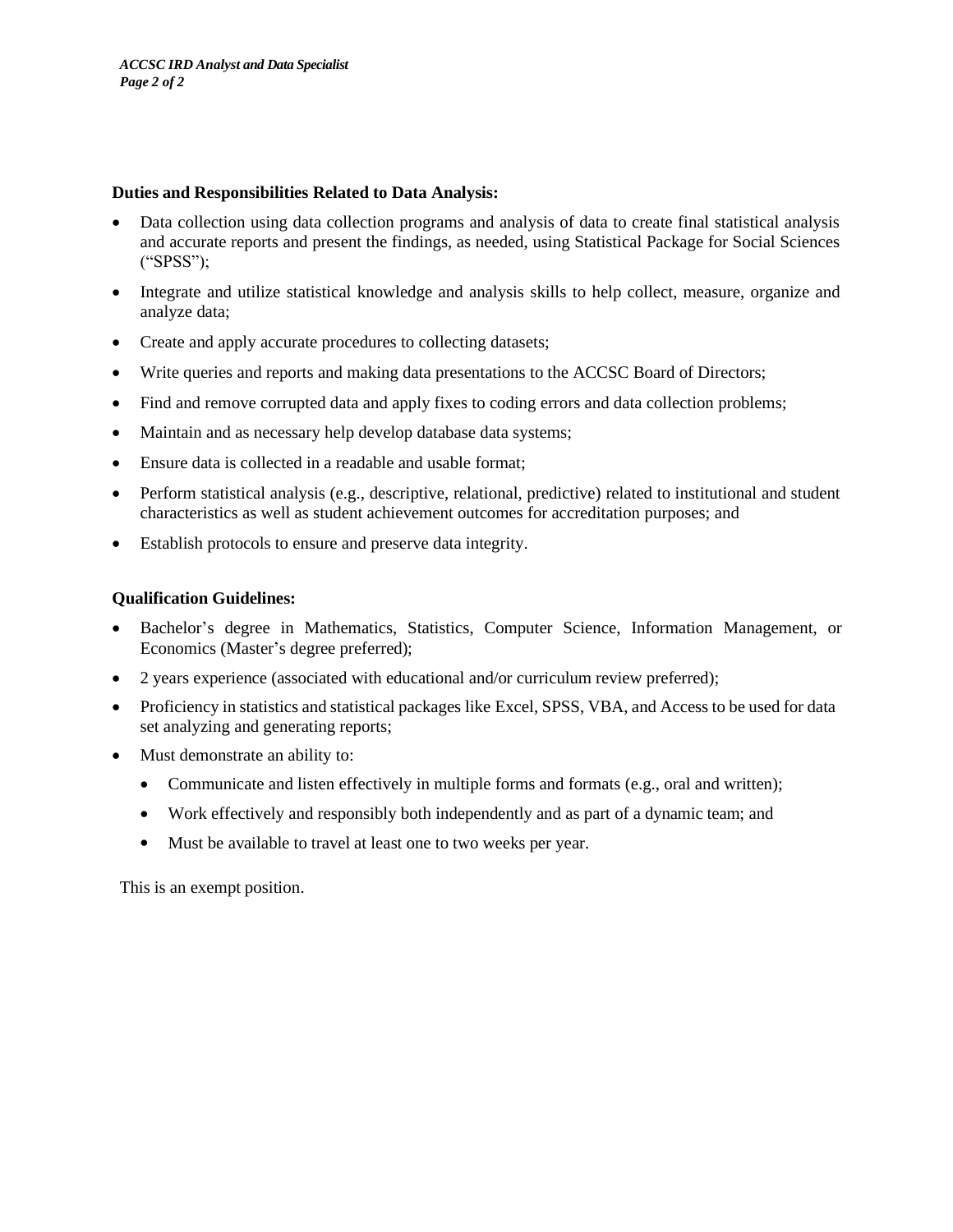## **Duties and Responsibilities Related to Data Analysis:**

- Data collection using data collection programs and analysis of data to create final statistical analysis and accurate reports and present the findings, as needed, using Statistical Package for Social Sciences ("SPSS");
- Integrate and utilize statistical knowledge and analysis skills to help collect, measure, organize and analyze data;
- Create and apply accurate procedures to collecting datasets;
- Write queries and reports and making data presentations to the ACCSC Board of Directors;
- Find and remove corrupted data and apply fixes to coding errors and data collection problems;
- Maintain and as necessary help develop database data systems;
- Ensure data is collected in a readable and usable format;
- Perform statistical analysis (e.g., descriptive, relational, predictive) related to institutional and student characteristics as well as student achievement outcomes for accreditation purposes; and
- Establish protocols to ensure and preserve data integrity.

## **Qualification Guidelines:**

- Bachelor's degree in Mathematics, Statistics, Computer Science, Information Management, or Economics (Master's degree preferred);
- 2 years experience (associated with educational and/or curriculum review preferred);
- Proficiency in statistics and statistical packages like Excel, SPSS, VBA, and Access to be used for data set analyzing and generating reports;
- Must demonstrate an ability to:
	- Communicate and listen effectively in multiple forms and formats (e.g., oral and written);
	- Work effectively and responsibly both independently and as part of a dynamic team; and
	- Must be available to travel at least one to two weeks per year.

This is an exempt position.